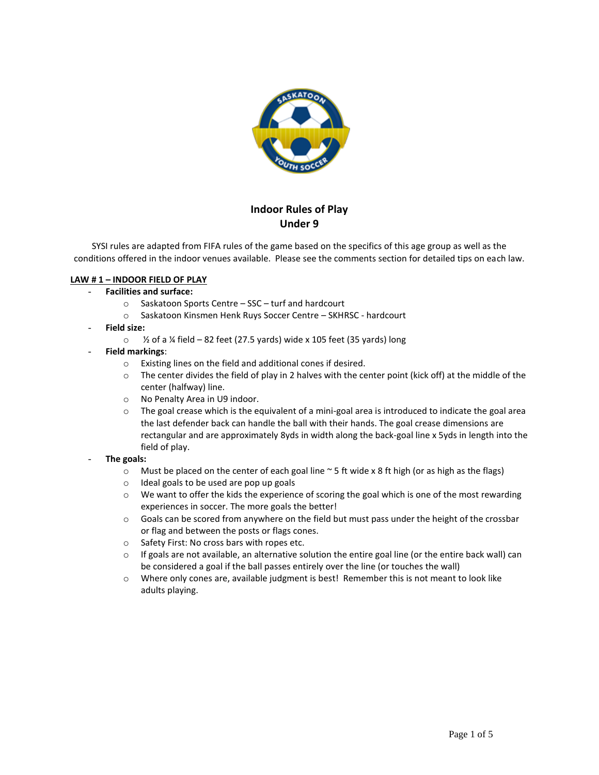

# **Indoor Rules of Play Under 9**

SYSI rules are adapted from FIFA rules of the game based on the specifics of this age group as well as the conditions offered in the indoor venues available. Please see the comments section for detailed tips on each law.

# **LAW # 1 – INDOOR FIELD OF PLAY**

## - **Facilities and surface:**

- o Saskatoon Sports Centre SSC turf and hardcourt
- o Saskatoon Kinsmen Henk Ruys Soccer Centre SKHRSC hardcourt
- **Field size:**
	- $\degree$  % of a ¼ field 82 feet (27.5 yards) wide x 105 feet (35 yards) long
- **Field markings**:
	- o Existing lines on the field and additional cones if desired.
	- $\circ$  The center divides the field of play in 2 halves with the center point (kick off) at the middle of the center (halfway) line.
	- o No Penalty Area in U9 indoor.
	- $\circ$  The goal crease which is the equivalent of a mini-goal area is introduced to indicate the goal area the last defender back can handle the ball with their hands. The goal crease dimensions are rectangular and are approximately 8yds in width along the back-goal line x 5yds in length into the field of play.
- **The goals:**
	- $\circ$  Must be placed on the center of each goal line  $\sim$  5 ft wide x 8 ft high (or as high as the flags)
	- o Ideal goals to be used are pop up goals
	- $\circ$  We want to offer the kids the experience of scoring the goal which is one of the most rewarding experiences in soccer. The more goals the better!
	- $\circ$  Goals can be scored from anywhere on the field but must pass under the height of the crossbar or flag and between the posts or flags cones.
	- o Safety First: No cross bars with ropes etc.
	- $\circ$  If goals are not available, an alternative solution the entire goal line (or the entire back wall) can be considered a goal if the ball passes entirely over the line (or touches the wall)
	- o Where only cones are, available judgment is best! Remember this is not meant to look like adults playing.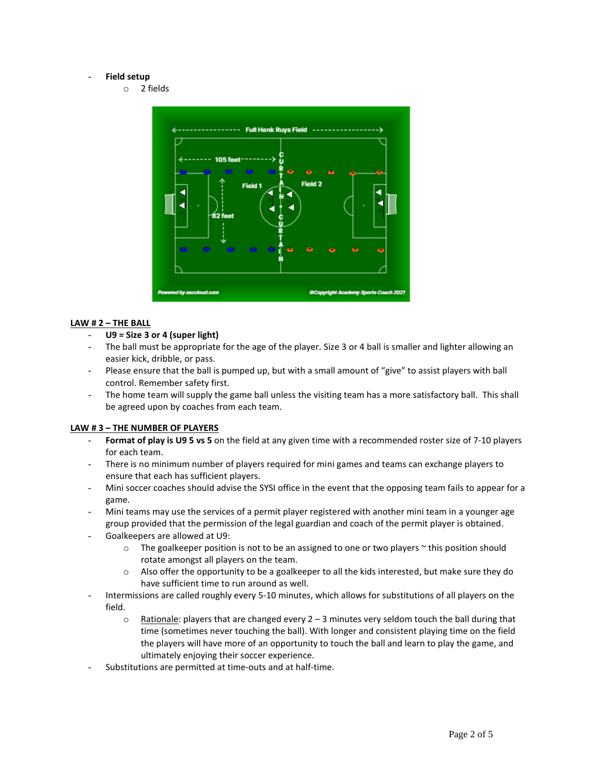#### - **Field setup**

o 2 fields



## **LAW # 2 – THE BALL**

## - **U9 = Size 3 or 4 (super light)**

- The ball must be appropriate for the age of the player. Size 3 or 4 ball is smaller and lighter allowing an easier kick, dribble, or pass.
- Please ensure that the ball is pumped up, but with a small amount of "give" to assist players with ball control. Remember safety first.
- The home team will supply the game ball unless the visiting team has a more satisfactory ball. This shall be agreed upon by coaches from each team.

## **LAW # 3 – THE NUMBER OF PLAYERS**

- Format of play is U95 vs 5 on the field at any given time with a recommended roster size of 7-10 players for each team.
- There is no minimum number of players required for mini games and teams can exchange players to ensure that each has sufficient players.
- Mini soccer coaches should advise the SYSI office in the event that the opposing team fails to appear for a game.
- Mini teams may use the services of a permit player registered with another mini team in a younger age group provided that the permission of the legal guardian and coach of the permit player is obtained.
- Goalkeepers are allowed at U9:
	- $\circ$  The goalkeeper position is not to be an assigned to one or two players  $\sim$  this position should rotate amongst all players on the team.
	- $\circ$  Also offer the opportunity to be a goalkeeper to all the kids interested, but make sure they do have sufficient time to run around as well.
- Intermissions are called roughly every 5-10 minutes, which allows for substitutions of all players on the field.
	- $\circ$  Rationale: players that are changed every 2 3 minutes very seldom touch the ball during that time (sometimes never touching the ball). With longer and consistent playing time on the field the players will have more of an opportunity to touch the ball and learn to play the game, and ultimately enjoying their soccer experience.
- Substitutions are permitted at time-outs and at half-time.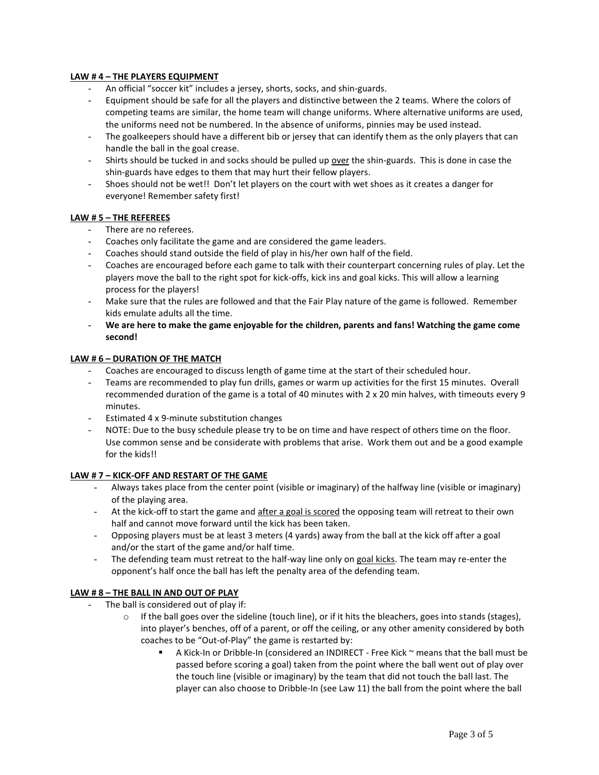## **LAW # 4 – THE PLAYERS EQUIPMENT**

- An official "soccer kit" includes a jersey, shorts, socks, and shin-guards.
- Equipment should be safe for all the players and distinctive between the 2 teams. Where the colors of competing teams are similar, the home team will change uniforms. Where alternative uniforms are used, the uniforms need not be numbered. In the absence of uniforms, pinnies may be used instead.
- The goalkeepers should have a different bib or jersey that can identify them as the only players that can handle the ball in the goal crease.
- Shirts should be tucked in and socks should be pulled up over the shin-guards. This is done in case the shin-guards have edges to them that may hurt their fellow players.
- Shoes should not be wet!! Don't let players on the court with wet shoes as it creates a danger for everyone! Remember safety first!

### **LAW # 5 – THE REFEREES**

- There are no referees.
- Coaches only facilitate the game and are considered the game leaders.
- Coaches should stand outside the field of play in his/her own half of the field.
- Coaches are encouraged before each game to talk with their counterpart concerning rules of play. Let the players move the ball to the right spot for kick-offs, kick ins and goal kicks. This will allow a learning process for the players!
- Make sure that the rules are followed and that the Fair Play nature of the game is followed. Remember kids emulate adults all the time.
- **We are here to make the game enjoyable for the children, parents and fans! Watching the game come second!**

#### **LAW # 6 – DURATION OF THE MATCH**

- Coaches are encouraged to discuss length of game time at the start of their scheduled hour.
- Teams are recommended to play fun drills, games or warm up activities for the first 15 minutes. Overall recommended duration of the game is a total of 40 minutes with 2 x 20 min halves, with timeouts every 9 minutes.
- Estimated 4 x 9-minute substitution changes
- NOTE: Due to the busy schedule please try to be on time and have respect of others time on the floor. Use common sense and be considerate with problems that arise. Work them out and be a good example for the kids!!

## **LAW # 7 – KICK-OFF AND RESTART OF THE GAME**

- Always takes place from the center point (visible or imaginary) of the halfway line (visible or imaginary) of the playing area.
- At the kick-off to start the game and after a goal is scored the opposing team will retreat to their own half and cannot move forward until the kick has been taken.
- Opposing players must be at least 3 meters (4 yards) away from the ball at the kick off after a goal and/or the start of the game and/or half time.
- The defending team must retreat to the half-way line only on goal kicks. The team may re-enter the opponent's half once the ball has left the penalty area of the defending team.

#### **LAW # 8 – THE BALL IN AND OUT OF PLAY**

- The ball is considered out of play if:
	- $\circ$  If the ball goes over the sideline (touch line), or if it hits the bleachers, goes into stands (stages), into player's benches, off of a parent, or off the ceiling, or any other amenity considered by both coaches to be "Out-of-Play" the game is restarted by:
		- A Kick-In or Dribble-In (considered an INDIRECT Free Kick  $\sim$  means that the ball must be passed before scoring a goal) taken from the point where the ball went out of play over the touch line (visible or imaginary) by the team that did not touch the ball last. The player can also choose to Dribble-In (see Law 11) the ball from the point where the ball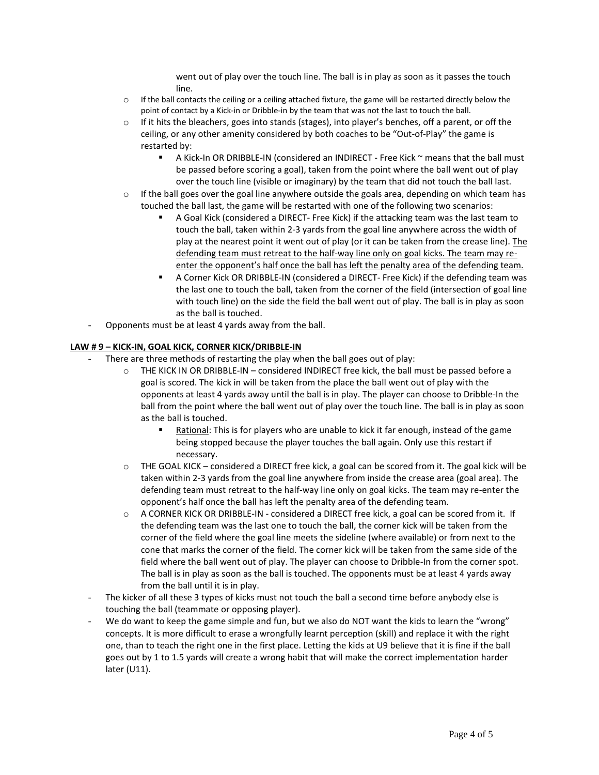went out of play over the touch line. The ball is in play as soon as it passes the touch line.

- $\circ$  If the ball contacts the ceiling or a ceiling attached fixture, the game will be restarted directly below the point of contact by a Kick-in or Dribble-in by the team that was not the last to touch the ball.
- $\circ$  If it hits the bleachers, goes into stands (stages), into player's benches, off a parent, or off the ceiling, or any other amenity considered by both coaches to be "Out-of-Play" the game is restarted by:
	- A Kick-In OR DRIBBLE-IN (considered an INDIRECT Free Kick ~ means that the ball must be passed before scoring a goal), taken from the point where the ball went out of play over the touch line (visible or imaginary) by the team that did not touch the ball last.
- $\circ$  If the ball goes over the goal line anywhere outside the goals area, depending on which team has touched the ball last, the game will be restarted with one of the following two scenarios:
	- A Goal Kick (considered a DIRECT- Free Kick) if the attacking team was the last team to touch the ball, taken within 2-3 yards from the goal line anywhere across the width of play at the nearest point it went out of play (or it can be taken from the crease line). The defending team must retreat to the half-way line only on goal kicks. The team may reenter the opponent's half once the ball has left the penalty area of the defending team.
	- A Corner Kick OR DRIBBLE-IN (considered a DIRECT- Free Kick) if the defending team was the last one to touch the ball, taken from the corner of the field (intersection of goal line with touch line) on the side the field the ball went out of play. The ball is in play as soon as the ball is touched.
- Opponents must be at least 4 yards away from the ball.

# **LAW # 9 – KICK-IN, GOAL KICK, CORNER KICK/DRIBBLE-IN**

- There are three methods of restarting the play when the ball goes out of play:
	- o THE KICK IN OR DRIBBLE-IN considered INDIRECT free kick, the ball must be passed before a goal is scored. The kick in will be taken from the place the ball went out of play with the opponents at least 4 yards away until the ball is in play. The player can choose to Dribble-In the ball from the point where the ball went out of play over the touch line. The ball is in play as soon as the ball is touched.
		- Rational: This is for players who are unable to kick it far enough, instead of the game being stopped because the player touches the ball again. Only use this restart if necessary.
	- $\circ$  THE GOAL KICK considered a DIRECT free kick, a goal can be scored from it. The goal kick will be taken within 2-3 yards from the goal line anywhere from inside the crease area (goal area). The defending team must retreat to the half-way line only on goal kicks. The team may re-enter the opponent's half once the ball has left the penalty area of the defending team.
	- $\circ$  A CORNER KICK OR DRIBBLE-IN considered a DIRECT free kick, a goal can be scored from it. If the defending team was the last one to touch the ball, the corner kick will be taken from the corner of the field where the goal line meets the sideline (where available) or from next to the cone that marks the corner of the field. The corner kick will be taken from the same side of the field where the ball went out of play. The player can choose to Dribble-In from the corner spot. The ball is in play as soon as the ball is touched. The opponents must be at least 4 yards away from the ball until it is in play.
- The kicker of all these 3 types of kicks must not touch the ball a second time before anybody else is touching the ball (teammate or opposing player).
- We do want to keep the game simple and fun, but we also do NOT want the kids to learn the "wrong" concepts. It is more difficult to erase a wrongfully learnt perception (skill) and replace it with the right one, than to teach the right one in the first place. Letting the kids at U9 believe that it is fine if the ball goes out by 1 to 1.5 yards will create a wrong habit that will make the correct implementation harder later (U11).